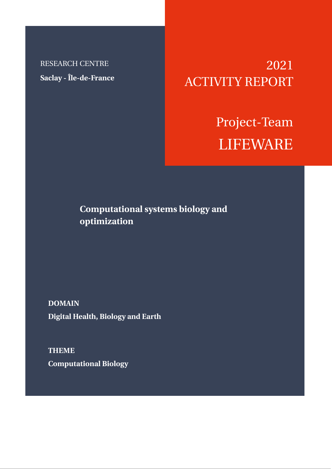RESEARCH CENTRE **Saclay - Île-de-France**

2021 ACTIVITY REPORT

> Project-Team LIFEWARE

**Computational systems biology and optimization**

**DOMAIN Digital Health, Biology and Earth**

**THEME Computational Biology**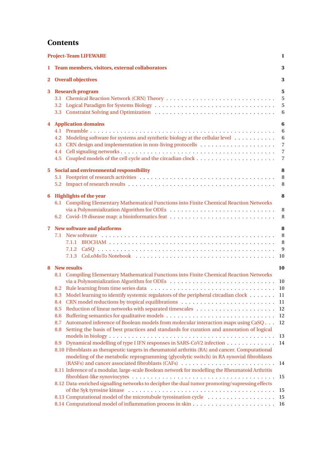# **Contents**

| <b>Project-Team LIFEWARE</b><br>1 |                                                                                                                                                                                                                                                                                                                                                                                                                                                                                                                                                                                                                                                                                                                                                                                                                                                                                                                                                                |                                                                            |
|-----------------------------------|----------------------------------------------------------------------------------------------------------------------------------------------------------------------------------------------------------------------------------------------------------------------------------------------------------------------------------------------------------------------------------------------------------------------------------------------------------------------------------------------------------------------------------------------------------------------------------------------------------------------------------------------------------------------------------------------------------------------------------------------------------------------------------------------------------------------------------------------------------------------------------------------------------------------------------------------------------------|----------------------------------------------------------------------------|
| 1.                                | Team members, visitors, external collaborators                                                                                                                                                                                                                                                                                                                                                                                                                                                                                                                                                                                                                                                                                                                                                                                                                                                                                                                 | 3                                                                          |
|                                   | 2 Overall objectives                                                                                                                                                                                                                                                                                                                                                                                                                                                                                                                                                                                                                                                                                                                                                                                                                                                                                                                                           | 3                                                                          |
| 3                                 | <b>Research program</b>                                                                                                                                                                                                                                                                                                                                                                                                                                                                                                                                                                                                                                                                                                                                                                                                                                                                                                                                        | 5<br>5<br>5<br>6                                                           |
|                                   | <b>4</b> Application domains<br>Modeling software for systems and synthetic biology at the cellular level<br>4.2<br>4.3                                                                                                                                                                                                                                                                                                                                                                                                                                                                                                                                                                                                                                                                                                                                                                                                                                        | 6<br>6<br>6<br>$\overline{7}$<br>$\overline{7}$<br>$\overline{7}$          |
| $5^{\circ}$                       | Social and environmental responsibility                                                                                                                                                                                                                                                                                                                                                                                                                                                                                                                                                                                                                                                                                                                                                                                                                                                                                                                        | 8<br>8<br>8                                                                |
| 6                                 | <b>Highlights of the year</b><br>6.1 Compiling Elementary Mathematical Functions into Finite Chemical Reaction Networks<br>via a Polynomialization Algorithm for ODEs                                                                                                                                                                                                                                                                                                                                                                                                                                                                                                                                                                                                                                                                                                                                                                                          | 8<br>8<br>8                                                                |
| 7                                 | <b>New software and platforms</b>                                                                                                                                                                                                                                                                                                                                                                                                                                                                                                                                                                                                                                                                                                                                                                                                                                                                                                                              | 8<br>8<br>8<br>9<br>10                                                     |
|                                   | 8 New results<br>8.1 Compiling Elementary Mathematical Functions into Finite Chemical Reaction Networks<br>8.3 Model learning to identify systemic regulators of the peripheral circadian clock 11<br>8.5<br>8.6<br>Automated inference of Boolean models from molecular interaction maps using CaSQ<br>8.7<br>Setting the basis of best practices and standards for curation and annotation of logical<br>8.8<br>Dynamical modelling of type I IFN responses in SARS-CoV2 infection<br>8.9<br>8.10 Fibroblasts as therapeutic targets in rheumatoid arthritis (RA) and cancer. Computational<br>modeling of the metabolic reprogramming (glycolytic switch) in RA synovial fibroblasts<br>8.11 Inference of a modular, large-scale Boolean network for modelling the Rheumatoid Arthritis<br>8.12 Data-enriched signalling networks to decipher the dual tumor promoting/supressing effects<br>8.13 Computational model of the microtubule tyrosination cycle | 10<br>10<br>10<br>11<br>12<br>12<br>12<br>13<br>14<br>14<br>15<br>15<br>15 |
|                                   |                                                                                                                                                                                                                                                                                                                                                                                                                                                                                                                                                                                                                                                                                                                                                                                                                                                                                                                                                                |                                                                            |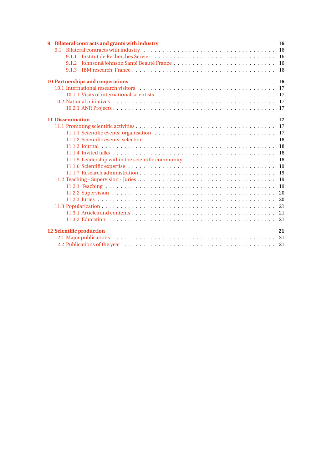| <b>Bilateral contracts and grants with industry</b><br>9 | 16            |
|----------------------------------------------------------|---------------|
|                                                          | <b>16</b>     |
|                                                          | 16            |
| Johnson&Johnson Santé Beauté France<br>9.1.2             | <b>16</b>     |
|                                                          | <sup>16</sup> |
| <b>10 Partnerships and cooperations</b>                  | 16            |
|                                                          |               |
|                                                          |               |
|                                                          |               |
|                                                          |               |
| <b>11 Dissemination</b>                                  | 17            |
|                                                          | <b>17</b>     |
|                                                          | <b>17</b>     |
|                                                          | 18            |
|                                                          | 18            |
|                                                          | 18            |
|                                                          | 18            |
|                                                          | 19            |
|                                                          | 19            |
|                                                          | 19            |
|                                                          | 19            |
|                                                          | 20            |
|                                                          | 20            |
|                                                          | 21            |
|                                                          |               |
|                                                          |               |
| <b>12 Scientific production</b>                          | 21            |
|                                                          |               |
|                                                          |               |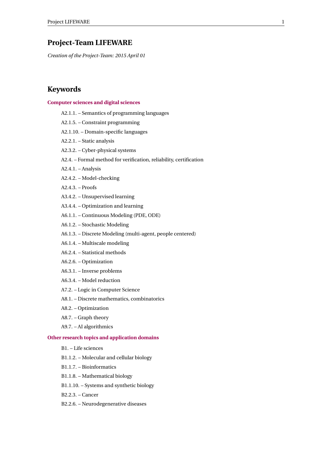## <span id="page-3-0"></span>**Project-Team LIFEWARE**

*Creation of the Project-Team: 2015 April 01*

## **Keywords**

### **[Computer sciences and digital sciences](https://raweb.inria.fr/rapportsactivite/RA2021/static/keywords/ComputerScienceandDigitalScience.html)**

- A2.1.1. Semantics of programming languages
- A2.1.5. Constraint programming
- A2.1.10. Domain-specific languages
- A2.2.1. Static analysis
- A2.3.2. Cyber-physical systems
- A2.4. Formal method for verification, reliability, certification
- A2.4.1. Analysis
- A2.4.2. Model-checking
- A2.4.3. Proofs
- A3.4.2. Unsupervised learning
- A3.4.4. Optimization and learning
- A6.1.1. Continuous Modeling (PDE, ODE)
- A6.1.2. Stochastic Modeling
- A6.1.3. Discrete Modeling (multi-agent, people centered)
- A6.1.4. Multiscale modeling
- A6.2.4. Statistical methods
- A6.2.6. Optimization
- A6.3.1. Inverse problems
- A6.3.4. Model reduction
- A7.2. Logic in Computer Science
- A8.1. Discrete mathematics, combinatorics
- A8.2. Optimization
- A8.7. Graph theory
- A9.7. AI algorithmics

### **[Other research topics and application domains](https://raweb.inria.fr/rapportsactivite/RA2021/static/keywords/OtherResearchTopicsandApplicationDomains.html)**

- B1. Life sciences
- B1.1.2. Molecular and cellular biology
- B1.1.7. Bioinformatics
- B1.1.8. Mathematical biology
- B1.1.10. Systems and synthetic biology
- B2.2.3. Cancer
- B2.2.6. Neurodegenerative diseases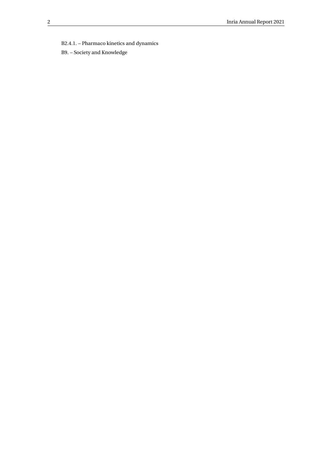B2.4.1. – Pharmaco kinetics and dynamics

B9. – Society and Knowledge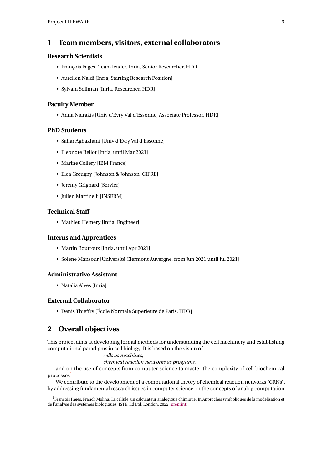## <span id="page-5-0"></span>**1 Team members, visitors, external collaborators**

### **Research Scientists**

- François Fages [Team leader, Inria, Senior Researcher, HDR]
- Aurelien Naldi [Inria, Starting Research Position]
- Sylvain Soliman [Inria, Researcher, HDR]

### **Faculty Member**

• Anna Niarakis [Univ d'Evry Val d'Essonne, Associate Professor, HDR]

### **PhD Students**

- Sahar Aghakhani [Univ d'Evry Val d'Essonne]
- Eleonore Bellot [Inria, until Mar 2021]
- Marine Collery [IBM France]
- Elea Greugny [Johnson & Johnson, CIFRE]
- Jeremy Grignard [Servier]
- Julien Martinelli [INSERM]

### **Technical Staff**

• Mathieu Hemery [Inria, Engineer]

### **Interns and Apprentices**

- Martin Boutroux [Inria, until Apr 2021]
- Solene Mansour [Université Clermont Auvergne, from Jun 2021 until Jul 2021]

#### **Administrative Assistant**

• Natalia Alves [Inria]

### **External Collaborator**

• Denis Thieffry [École Normale Supérieure de Paris, HDR]

## <span id="page-5-1"></span>**2 Overall objectives**

This project aims at developing formal methods for understanding the cell machinery and establishing computational paradigms in cell biology. It is based on the vision of

#### *cells as machines,*

*chemical reaction networks as programs,*

and on the use of concepts from computer science to master the complexity of cell biochemical processes<sup>[1](#page-5-2)</sup>.

We contribute to the development of a computational theory of chemical reaction networks (CRNs), by addressing fundamental research issues in computer science on the concepts of analog computation

<span id="page-5-2"></span><sup>1</sup>François Fages, Franck Molina. La cellule, un calculateur analogique chimique. In Approches symboliques de la modélisation et de l'analyse des systèmes biologiques. ISTE, Ed Ltd, London, 2022 [\(preprint\)](http://hal.inria.fr/hal-02518419).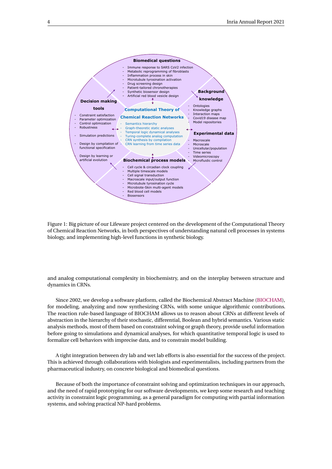

Figure 1: Big picture of our Lifeware project centered on the development of the Computational Theory of Chemical Reaction Networks, in both perspectives of understanding natural cell processes in systems biology, and implementing high-level functions in synthetic biology.

and analog computational complexity in biochemistry, and on the interplay between structure and dynamics in CRNs.

Since 2002, we develop a software platform, called the Biochemical Abstract Machine [\(BIOCHAM\)](http://lifeware.inria.fr/BIOCHAM), for modeling, analyzing and now synthesizing CRNs, with some unique algorithmic contributions. The reaction rule-based language of BIOCHAM allows us to reason about CRNs at different levels of abstraction in the hierarchy of their stochastic, differential, Boolean and hybrid semantics. Various static analysis methods, most of them based on constraint solving or graph theory, provide useful information before going to simulations and dynamical analyses, for which quantitative temporal logic is used to formalize cell behaviors with imprecise data, and to constrain model building.

A tight integration between dry lab and wet lab efforts is also essential for the success of the project. This is achieved through collaborations with biologists and experimentalists, including partners from the pharmaceutical industry, on concrete biological and biomedical questions.

Because of both the importance of constraint solving and optimization techniques in our approach, and the need of rapid prototyping for our software developments, we keep some research and teaching activity in constraint logic programming, as a general paradigm for computing with partial information systems, and solving practical NP-hard problems.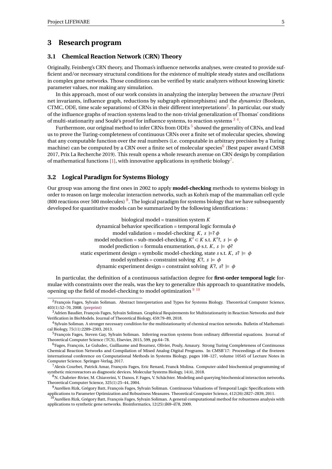## <span id="page-7-0"></span>**3 Research program**

### <span id="page-7-1"></span>**3.1 Chemical Reaction Network (CRN) Theory**

Originally, Feinberg's CRN theory, and Thomas's influence networks analyses, were created to provide sufficient and/or necessary structural conditions for the existence of multiple steady states and oscillations in complex gene networks. Those conditions can be verified by static analyzers without knowing kinetic parameter values, nor making any simulation.

In this approach, most of our work consists in analyzing the interplay between the *structure* (Petri net invariants, influence graph, reductions by subgraph epimorphisms) and the *dynamics* (Boolean, CTMC, ODE, time scale separations) of CRNs in their different interpretations<sup>[2](#page-7-3)</sup>. In particular, our study of the influence graphs of reaction systems lead to the non-trivial generalization of Thomas' conditions of multi-stationarity and Soulé's proof for influence systems, to reaction systems  $^{\rm 3 \ 4}.$  $^{\rm 3 \ 4}.$  $^{\rm 3 \ 4}.$  $^{\rm 3 \ 4}.$  $^{\rm 3 \ 4}.$ 

Furthermore, our original method to infer CRNs from ODEs  $^5$  $^5$  showed the generality of CRNs, and lead us to prove the Turing-completeness of continuous CRNs over a finite set of molecular species, showing that any computable function over the real numbers (i.e. computable in arbitrary precision by a Turing machine) can be computed by a CRN over a finite set of molecular species<sup>[6](#page-7-7)</sup> (Best paper award CMSB 2017, Prix La Recherche 2019). This result opens a whole research avenue on CRN design by compilation of mathematical functions [\[1\]](#page-23-6), with innovative applications in synthetic biology<sup>[7](#page-7-8)</sup>.

### <span id="page-7-2"></span>**3.2 Logical Paradigm for Systems Biology**

Our group was among the first ones in 2002 to apply **model-checking** methods to systems biology in order to reason on large molecular interaction networks, such as Kohn's map of the mammalian cell cycle ([8](#page-7-9)00 reactions over 500 molecules)  $8$ . The logical paradigm for systems biology that we have subsequently developed for quantitative models can be summarized by the following identifications :

> biological model = transition system *K* dynamical behavior specification = temporal logic formula *φ* model validation = model-checking *K*,  $s \models ? \phi$ model reduction = sub-model-checking,  $K' \subset K$  s.t.  $K'$ ?,  $s \models \phi$ model prediction = formula enumeration,  $\phi$  s.t.  $K$ ,  $s \models \phi$ ? static experiment design = symbolic model-checking, state *s* s.t. *K*,  $s^2 \models \phi$ model synthesis = constraint solving  $K^2$ ,  $s \models \phi$ dynamic experiment design = constraint solving  $K^2$ ,  $s^2 \models \phi$

In particular, the definition of a continuous satisfaction degree for **first-order temporal logic** formulae with constraints over the reals, was the key to generalize this approach to quantitative models, opening up the field of model-checking to model optimization  $9\frac{10}{10}$  $9\frac{10}{10}$  $9\frac{10}{10}$  $9\frac{10}{10}$ 

<span id="page-7-3"></span><sup>2</sup>François Fages, Sylvain Soliman. Abstract Interpretation and Types for Systems Biology. Theoretical Computer Science, 403(1):52–70, 2008. [\(preprint\)](http://lifeware.inria.fr/~fages/Papers/FS07tcs.pdf)

<span id="page-7-4"></span><sup>3</sup>Adrien Baudier, François Fages, Sylvain Soliman. Graphical Requirements for Multistationarity in Reaction Networks and their Verification in BioModels. Journal of Theoretical Biology, 459:79–89, 2018.

<span id="page-7-5"></span><sup>4</sup>Sylvain Soliman. A stronger necessary condition for the multistationarity of chemical reaction networks. Bulletin of Mathematical Biology, 75(11):2289–2303, 2013.

<span id="page-7-6"></span><sup>5</sup>François Fages, Steven Gay, Sylvain Soliman. Inferring reaction systems from ordinary differential equations. Journal of Theoretical Computer Science (TCS), Elsevier, 2015, 599, pp.64–78.

<span id="page-7-7"></span><sup>6</sup>Fages, François, Le Guludec, Guillaume and Bournez, Olivier, Pouly, Amaury. Strong Turing Completeness of Continuous Chemical Reaction Networks and Compilation of Mixed Analog-Digital Programs. In CMSB'17: Proceedings of the fiveteen international conference on Computational Methods in Systems Biology, pages 108–127, volume 10545 of Lecture Notes in Computer Science. Springer-Verlag, 2017.

<span id="page-7-8"></span><sup>7</sup>Alexis Courbet, Patrick Amar, François Fages, Eric Renard, Franck Molina. Computer-aided biochemical programming of synthetic microreactors as diagnostic devices. Molecular Systems Biology, 14(4), 2018.

<span id="page-7-9"></span><sup>8</sup>N. Chabrier-Rivier, M. Chiaverini, V. Danos, F. Fages, V. Schächter. Modeling and querying biochemical interaction networks. Theoretical Computer Science, 325(1):25–44, 2004.

<span id="page-7-10"></span><sup>9</sup>Aurélien Rizk, Grégory Batt, François Fages, Sylvain Soliman. Continuous Valuations of Temporal Logic Specifications with applications to Parameter Optimization and Robustness Measures. Theoretical Computer Science, 412(26):2827–2839, 2011.

<span id="page-7-11"></span> $^{10}$ Aurélien Rizk, Grégory Batt, François Fages, Sylvain Soliman. A general computational method for robustness analysis with applications to synthetic gene networks. Bioinformatics, 12(25):il69–il78, 2009.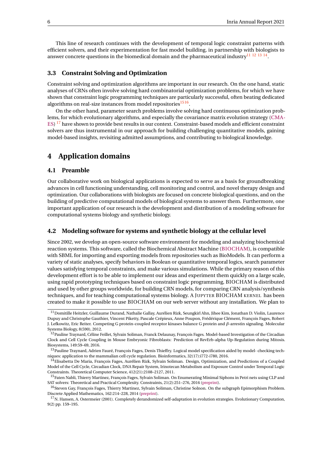This line of research continues with the development of temporal logic constraint patterns with efficient solvers, and their experimentation for fast model building, in partnership with biologists to answer concrete questions in the biomedical domain and the pharmaceutical industry<sup>[11](#page-8-4) [12](#page-8-5)</sup> <sup>[13](#page-8-6)</sup> <sup>[14](#page-8-7)</sup>.

### <span id="page-8-0"></span>**3.3 Constraint Solving and Optimization**

Constraint solving and optimization algorithms are important in our research. On the one hand, static analyses of CRNs often involve solving hard combinatorial optimization problems, for which we have shown that constraint logic programming techniques are particularly successful, often beating dedicated algorithms on real-size instances from model repositories<sup>[15](#page-8-8)[16](#page-8-9)</sup>.

On the other hand, parameter search problems involve solving hard continuous optimization problems, for which evolutionary algorithms, and especially the covariance matrix evolution strategy [\(CMA-](https://en.wikipedia.org/wiki/CMA-ES)[ES\)](https://en.wikipedia.org/wiki/CMA-ES) <sup>[17](#page-8-10)</sup> have shown to provide best results in our context. Constraint-based models and efficient constraint solvers are thus instrumental in our approach for building challenging quantitative models, gaining model-based insights, revisiting admitted assumptions, and contributing to biological knowledge.

## <span id="page-8-1"></span>**4 Application domains**

### <span id="page-8-2"></span>**4.1 Preamble**

Our collaborative work on biological applications is expected to serve as a basis for groundbreaking advances in cell functioning understanding, cell monitoring and control, and novel therapy design and optimization. Our collaborations with biologists are focused on concrete biological questions, and on the building of predictive computational models of biological systems to answer them. Furthermore, one important application of our research is the development and distribution of a modeling software for computational systems biology and synthetic biology.

### <span id="page-8-3"></span>**4.2 Modeling software for systems and synthetic biology at the cellular level**

Since 2002, we develop an open-source software environment for modeling and analyzing biochemical reaction systems. This software, called the Biochemical Abstract Machine [\(BIOCHAM\)](http://lifeware.inria.fr/BIOCHAM), is compatible with SBML for importing and exporting models from repositories such as BioModels. It can perform a variety of static analyses, specify behaviors in Boolean or quantitative temporal logics, search parameter values satisfying temporal constraints, and make various simulations. While the primary reason of this development effort is to be able to implement our ideas and experiment them quickly on a large scale, using rapid prototyping techniques based on constraint logic programming, BIOCHAM is distributed and used by other groups worldwide, for building CRN models, for comparing CRN analysis/synthesis techniques, and for teaching computational systems biology. A JUPYTER BIOCHAM KERNEL has been created to make it possible to use BIOCHAM on our web server without any installation. We plan to

<span id="page-8-4"></span> $^{11}$  Domitille Heitzler, Guillaume Durand, Nathalie Gallay, Aurélien Rizk, Seungkirl Ahn, Jihee Kim, Jonathan D. Violin, Laurence Dupuy and Christophe Gauthier, Vincent Piketty, Pascale Crépieux, Anne Poupon, Frédérique Clément, François Fages, Robert J. Lefkowitz, Eric Reiter. Competing G protein-coupled receptor kinases balance G protein and *β*-arrestin signaling. Molecular Systems Biology, 8(590), 2012.

<span id="page-8-5"></span><sup>&</sup>lt;sup>12</sup>Pauline Traynard, Céline Feillet, Sylvain Soliman, Franck Delaunay, François Fages. Model-based Investigation of the Circadian Clock and Cell Cycle Coupling in Mouse Embryonic Fibroblasts: Prediction of RevErb-alpha Up-Regulation during Mitosis. Biosystems, 149:59–69, 2016.

<span id="page-8-6"></span><sup>&</sup>lt;sup>13</sup>Pauline Traynard, Adrien Fauré, François Fages, Denis Thieffry. Logical model specification aided by model- checking techniques: application to the mammalian cell cycle regulation. Bioinformatics, 32(17):i772-i780, 2016.

<span id="page-8-7"></span><sup>&</sup>lt;sup>14</sup>Elisabetta De Maria, François Fages, Aurélien Rizk, Sylvain Soliman. Design, Optimization, and Predictions of a Coupled Model of the Cell Cycle, Circadian Clock, DNA Repair System, Irinotecan Metabolism and Exposure Control under Temporal Logic Constraints. Theoretical Computer Science, 412(21):2108–2127, 2011.

<span id="page-8-8"></span><sup>&</sup>lt;sup>15</sup>Faten Nabli, Thierry Martinez, François Fages, Sylvain Soliman. On Enumerating Minimal Siphons in Petri nets using CLP and SAT solvers: Theoretical and Practical Complexity. Constraints, 21(2):251–276, 2016 [\(preprint\)](http://hal.inria.fr/hal-01170962).

<span id="page-8-9"></span><sup>&</sup>lt;sup>16</sup>Steven Gay, François Fages, Thierry Martinez, Sylvain Soliman, Christine Solnon. On the subgraph Epimorphism Problem. Discrete Applied Mathematics, 162:214–228, 2014 [\(preprint\)](http://lifeware.inria.fr/~fages/Papers/GFMSS13dam.pdf).

<span id="page-8-10"></span><sup>&</sup>lt;sup>17</sup>N. Hansen, A. Ostermeier (2001). Completely derandomized self-adaptation in evolution strategies. Evolutionary Computation, 9(2) pp. 159–195.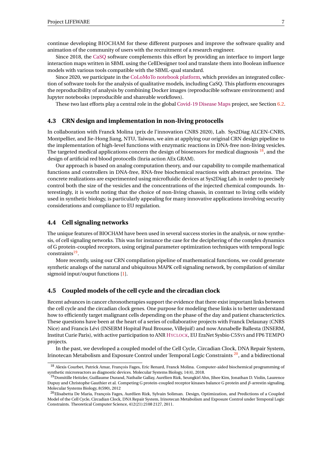continue developing BIOCHAM for these different purposes and improve the software quality and animation of the community of users with the recruitment of a research engineer.

Since 2018, the [CaSQ](https://pypi.org/project/casq/) software complements this effort by providing an interface to import large interaction maps written in SBML using the CellDesigner tool and translate them into Boolean influence models with various tools compatible with the SBML-qual standard.

Since 2020, we participate in the [CoLoMoTo notebook platform,](http://colomoto.org/notebook) which provides an integrated collection of software tools for the analysis of qualitative models, including CaSQ. This platform encourages the reproducibility of analysis by combining Docker images (reproducible software environment) and Jupyter notebooks (reproducible and shareable workflows).

These two last efforts play a central role in the global [Covid-19 Disease Maps](https://covid.pages.uni.lu/) project, see Section [6.2.](#page-10-5)

### <span id="page-9-0"></span>**4.3 CRN design and implementation in non-living protocells**

In collaboration with Franck Molina (prix de l'innovation CNRS 2020), Lab. Sys2Diag ALCEN-CNRS, Montpellier, and Jie-Hong Jiang, NTU, Taiwan, we aim at applying our original CRN design pipeline to the implementation of high-level functions with enzymatic reactions in DNA-free non-living vesicles. The targeted medical applications concern the design of biosensors for medical diagnosis  $^{18}$  $^{18}$  $^{18}$ , and the design of artificial red blood protocells (Inria action AEx GRAM).

Our approach is based on analog computation theory, and our capability to compile mathematical functions and controllers in DNA-free, RNA-free biochemical reactions with abstract proteins. The concrete realizations are experimented using microfluidic devices at Sys2Diag Lab. in order to precisely control both the size of the vesicles and the concentrations of the injected chemical compounds. Interestingly, it is worht noting that the choice of non-living chassis, in contrast to living cells widely used in synthetic biology, is particularly appealing for many innovative applications involving security considerations and compliance to EU regulation.

## <span id="page-9-1"></span>**4.4 Cell signaling networks**

The unique features of BIOCHAM have been used in several success stories in the analysis, or now synthesis, of cell signaling networks. This was for instance the case for the deciphering of the complex dynamics of G protein-coupled receptors, using original parameter optimization techniques with temporal logic constraints<sup>[19](#page-9-4)</sup>.

More recently, using our CRN compilation pipeline of mathematical functions, we could generate synthetic analogs of the natural and ubiquitous MAPK cell signaling network, by compilation of similar sigmoid input/ouput functions [\[1\]](#page-23-6).

### <span id="page-9-2"></span>**4.5 Coupled models of the cell cycle and the circadian clock**

Recent advances in cancer chronotherapies support the evidence that there exist important links between the cell cycle and the circadian clock genes. One purpose for modeling these links is to better understand how to efficiently target malignant cells depending on the phase of the day and patient characterictics. These questions have been at the heart of a series of collaborative projects with Franck Delaunay (CNRS Nice) and Francis Lévi (INSERM Hopital Paul Brousse, Villejuif ) and now Annabelle Ballesta (INSERM, Institut Curie Paris), with active participation to ANR H[YCLOCK](http://www.agence-nationale-recherche.fr/Project-ANR-14-CE09-0011), EU EraNet Sysbio C5SYS and FP6 TEMPO projects.

In the past, we developed a coupled model of the Cell Cycle, Circadian Clock, DNA Repair System, Irinotecan Metabolism and Exposure Control under Temporal Logic Constraints  $2^0$ , and a bidirectional

<span id="page-9-3"></span><sup>18</sup> Alexis Courbet, Patrick Amar, François Fages, Eric Renard, Franck Molina. Computer-aided biochemical programming of

<span id="page-9-4"></span>synthetic microreactors as diagnostic devices. Molecular Systems Biology, 14(4), 2018.<br><sup>19</sup>Domitille Heitzler, Guillaume Durand, Nathalie Gallay, Aurélien Rizk, Seungkirl Ahn, Jihee Kim, Jonathan D. Violin, Laurence Dupuy and Christophe Gauthier et al. Competing G protein-coupled receptor kinases balance G protein and *β*-arrestin signaling. Molecular Systems Biology, 8(590), 2012

<span id="page-9-5"></span><sup>&</sup>lt;sup>20</sup>Elisabetta De Maria, François Fages, Aurélien Rizk, Sylvain Soliman. Design, Optimization, and Predictions of a Coupled Model of the Cell Cycle, Circadian Clock, DNA Repair System, Irinotecan Metabolism and Exposure Control under Temporal Logic Constraints. Theoretical Computer Science, 412(21):2108 2127, 2011.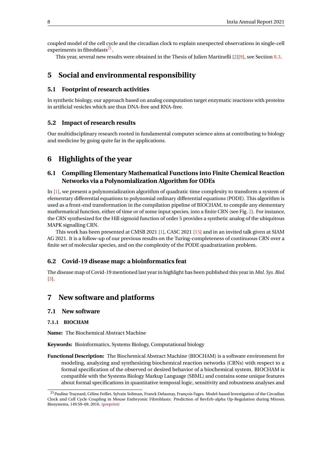coupled model of the cell cycle and the circadian clock to explain unexpected observations in single-cell experiments in fibroblasts<sup>[21](#page-10-9)</sup>.

This year, several new results were obtained in the Thesis of Julien Martinelli [\[2\]](#page-23-7)[\[9\]](#page-24-0), see Section [8.3.](#page-13-0)

## <span id="page-10-0"></span>**5 Social and environmental responsibility**

## <span id="page-10-1"></span>**5.1 Footprint of research activities**

In synthetic biology, our approach based on analog computation target enzymatic reactions with proteins in artificial vesicles which are thus DNA-free and RNA-free.

## <span id="page-10-2"></span>**5.2 Impact of research results**

Our multidisciplinary research rooted in fundamental computer science aims at contributing to biology and medicine by going quite far in the applications.

## <span id="page-10-3"></span>**6 Highlights of the year**

## <span id="page-10-4"></span>**6.1 Compiling Elementary Mathematical Functions into Finite Chemical Reaction Networks via a Polynomialization Algorithm for ODEs**

In [\[1\]](#page-23-6), we present a polynomialization algorithm of quadratic time complexity to transform a system of elementary differential equations to polynomial ordinary differential equations (PODE). This algorithm is used as a front-end transformation in the compilation pipeline of BIOCHAM, to compile any elementary mathematical function, either of time or of some input species, into a finite CRN (see Fig. [2\)](#page-11-1). For instance, the CRN synthesized for the Hill sigmoid function of order 5 provides a synthetic analog of the ubiquitous MAPK signalling CRN.

This work has been presented at CMSB 2021 [\[1\]](#page-23-6), CASC 2021 [\[15\]](#page-24-1) and in an invited talk given at SIAM AG 2021. It is a follow-up of our previous results on the Turing-completeness of continuous CRN over a finite set of molecular species, and on the complexity of the PODE quadratization problem.

### <span id="page-10-5"></span>**6.2 Covid-19 disease map: a bioinformatics feat**

The disease map of Covid-19 mentioned last year in highlight has been published this year in *Mol. Sys. Biol.* [\[3\]](#page-23-8).

## <span id="page-10-6"></span>**7 New software and platforms**

### <span id="page-10-7"></span>**7.1 New software**

### <span id="page-10-8"></span>**7.1.1 BIOCHAM**

**Name:** The Biochemical Abstract Machine

**Keywords:** Bioinformatics, Systems Biology, Computational biology

**Functional Description:** The Biochemical Abstract Machine (BIOCHAM) is a software environment for modeling, analyzing and synthesizing biochemical reaction networks (CRNs) with respect to a formal specification of the observed or desired behavior of a biochemical system. BIOCHAM is compatible with the Systems Biology Markup Language (SBML) and contains some unique features about formal specifications in quantitative temporal logic, sensitivity and robustness analyses and

<span id="page-10-9"></span><sup>21</sup>Pauline Traynard, Céline Feillet, Sylvain Soliman, Franck Delaunay, François Fages. Model-based Investigation of the Circadian Clock and Cell Cycle Coupling in Mouse Embryonic Fibroblasts: Prediction of RevErb-alpha Up-Regulation during Mitosis. Biosystems, 149:59–69, 2016. [\(preprint\)](http://hal.inria.fr/hal-01378466)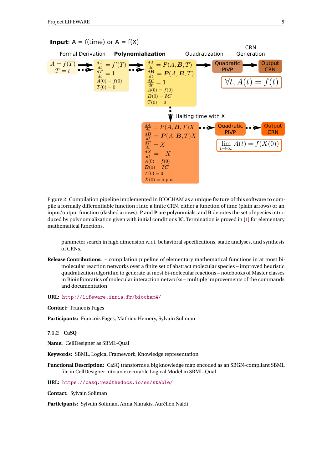

<span id="page-11-1"></span>Figure 2: Compilation pipeline implemented in BIOCHAM as a unique feature of this software to compile a formally differentiable function f into a finite CRN, either a function of time (plain arrows) or an input/output function (dashed arrows): P and **P** are polynomials, and **B** denotes the set of species introduced by polynomialization given with initial conditions **IC**. Termination is proved in [\[1\]](#page-23-6) for elementary mathematical functions.

parameter search in high dimension w.r.t. behavioral specifications, static analyses, and synthesis of CRNs.

**Release Contributions:** – compilation pipeline of elementary mathematical functions in at most bimolecular reaction networks over a finite set of abstract molecular species – improved heuristic quadratization algorithm to generate at most bi-molecular reactions – notebooks of Master classes in Bioinfomratics of molecular interaction networks – multiple improvements of the commands and documentation

**URL:** <http://lifeware.inria.fr/biocham4/>

**Contact:** Francois Fages

**Participants:** Francois Fages, Mathieu Hemery, Sylvain Soliman

<span id="page-11-0"></span>**7.1.2 CaSQ**

**Name:** CellDesigner as SBML-Qual

**Keywords:** SBML, Logical Framework, Knowledge representation

**Functional Description:** CaSQ transforms a big knowledge map encoded as an SBGN-compliant SBML file in CellDesigner into an executable Logical Model in SBML-Qual

**URL:** <https://casq.readthedocs.io/en/stable/>

**Contact:** Sylvain Soliman

**Participants:** Sylvain Soliman, Anna Niarakis, Aurélien Naldi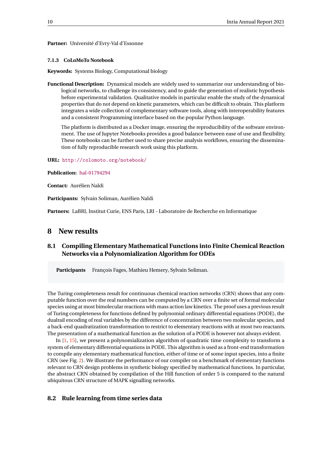#### **Partner:** Université d'Evry-Val d'Essonne

#### <span id="page-12-0"></span>**7.1.3 CoLoMoTo Notebook**

**Keywords:** Systems Biology, Computational biology

**Functional Description:** Dynamical models are widely used to summarize our understanding of biological networks, to challenge its consistency, and to guide the generation of realistic hypothesis before experimental validation. Qualitative models in particular enable the study of the dynamical properties that do not depend on kinetic parameters, which can be difficult to obtain. This platform integrates a wide collection of complementary software tools, along with interoperability features and a consistent Programming interface based on the popular Python language.

The platform is distributed as a Docker image, ensuring the reproducibility of the software environment. The use of Jupyter Notebooks provides a good balance between ease of use and flexibility. These notebooks can be further used to share precise analysis workflows, ensuring the dissemination of fully reproducible research work using this platform.

**URL:** <http://colomoto.org/notebook/>

**Publication:** [hal-01794294](https://hal.inria.fr/hal-01794294)

**Contact:** Aurélien Naldi

**Participants:** Sylvain Soliman, Aurélien Naldi

**Partners:** LaBRI, Institut Curie, ENS Paris, LRI - Laboratoire de Recherche en Informatique

### <span id="page-12-1"></span>**8 New results**

## <span id="page-12-2"></span>**8.1 Compiling Elementary Mathematical Functions into Finite Chemical Reaction Networks via a Polynomialization Algorithm for ODEs**

Participants François Fages, Mathieu Hemery, Sylvain Soliman.

The Turing completeness result for continuous chemical reaction networks (CRN) shows that any computable function over the real numbers can be computed by a CRN over a finite set of formal molecular species using at most bimolecular reactions with mass action law kinetics. The proof uses a previous result of Turing completeness for functions defined by polynomial ordinary differential equations (PODE), the dualrail encoding of real variables by the difference of concentration between two molecular species, and a back-end quadratization transformation to restrict to elementary reactions with at most two reactants. The presentation of a mathematical function as the solution of a PODE is however not always evident.

In [\[1,](#page-23-6) [15\]](#page-24-1), we present a polynomialization algorithm of quadratic time complexity to transform a system of elementary differential equations in PODE. This algorithm is used as a front-end transformation to compile any elementary mathematical function, either of time or of some input species, into a finite CRN (see Fig. [2\)](#page-11-1). We illustrate the performance of our compiler on a benchmark of elementary functions relevant to CRN design problems in synthetic biology specified by mathematical functions. In particular, the abstract CRN obtained by compilation of the Hill function of order 5 is compared to the natural ubiquitous CRN structure of MAPK signalling networks.

### <span id="page-12-3"></span>**8.2 Rule learning from time series data**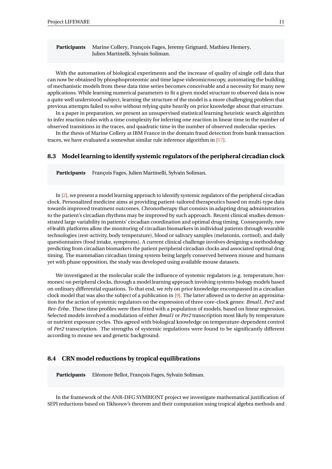**Participants** Marine Collery, François Fages, Jeremy Grignard, Mathieu Hemery, Julien Martinelli, Sylvain Soliman.

With the automation of biological experiments and the increase of quality of single cell data that can now be obtained by phosphoproteomic and time lapse videomicroscopy, automating the building of mechanistic models from these data time series becomes conceivable and a necessity for many new applications. While learning numerical parameters to fit a given model structure to observed data is now a quite well understood subject, learning the structure of the model is a more challenging problem that previous attempts failed to solve without relying quite heavily on prior knowledge about that structure.

In a paper in preparation, we present an unsupervised statistical learning heuristic search algorithm to infer reaction rules with a time complexity for inferring one reaction in linear time in the number of observed transitions in the traces, and quadratic time in the number of observed molecular species.

In the thesis of Marine Collery at IBM France in the domain fraud detection from bank transaction traces, we have evaluated a somewhat similar rule inference algorithm in [\[17\]](#page-25-0).

### <span id="page-13-0"></span>**8.3 Model learning to identify systemic regulators of the peripheral circadian clock**

**Participants** François Fages, Julien Martinelli, Sylvain Soliman.

In [\[2\]](#page-23-7), we present a model learning approach to identify systemic regulators of the peripheral circadian clock. Personalized medicine aims at providing patient-tailored therapeutics based on multi-type data towards improved treatment outcomes. Chronotherapy that consists in adapting drug administration to the patient's circadian rhythms may be improved by such approach. Recent clinical studies demonstrated large variability in patients' circadian coordination and optimal drug timing. Consequently, new eHealth platforms allow the monitoring of circadian biomarkers in individual patients through wearable technologies (rest-activity, body temperature), blood or salivary samples (melatonin, cortisol), and daily questionnaires (food intake, symptoms). A current clinical challenge involves designing a methodology predicting from circadian biomarkers the patient peripheral circadian clocks and associated optimal drug timing. The mammalian circadian timing system being largely conserved between mouse and humans yet with phase opposition, the study was developed using available mouse datasets.

We investigated at the molecular scale the influence of systemic regulators (e.g. temperature, hormones) on peripheral clocks, through a model learning approach involving systems biology models based on ordinary differential equations. To that end, we rely on prior knowledge encompassed in a circadian clock model that was also the subject of a publication in [\[9\]](#page-24-0). The latter allowed us to derive an approximation for the action of systemic regulators on the expression of three core-clock genes: *Bmal1*, *Per2* and *Rev-Erbα*. These time profiles were then fitted with a population of models, based on linear regression. Selected models involved a modulation of either *Bmal1* or *Per2* transcription most likely by temperature or nutrient exposure cycles. This agreed with biological knowledge on temperature-dependent control of *Per2* transcription. The strengths of systemic regulations were found to be significantly different according to mouse sex and genetic background.

### <span id="page-13-1"></span>**8.4 CRN model reductions by tropical equilibrations**

**Participants** Eléonore Bellot, François Fages, Sylvain Soliman.

In the framework of the ANR-DFG SYMBIONT project we investigate mathematical justification of SEPI reductions based on Tikhonov's theorem and their computation using tropical algebra methods and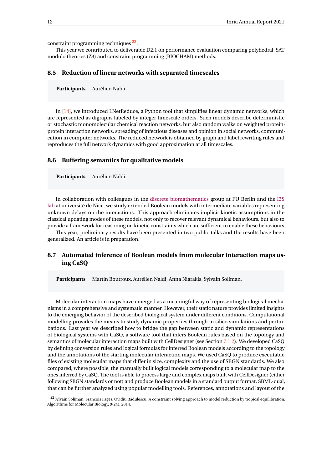constraint programming techniques<sup>[22](#page-14-3)</sup>.

This year we contributed to deliverable D2.1 on performance evaluation comparing polyhedral, SAT modulo theories (Z3) and constraint programming (BIOCHAM) methods.

### <span id="page-14-0"></span>**8.5 Reduction of linear networks with separated timescales**

**Participants** Aurélien Naldi.

In [\[14\]](#page-24-2), we introduced LNetReduce, a Python tool that simplifies linear dynamic networks, which are represented as digraphs labeled by integer timescale orders. Such models describe deterministic or stochastic monomolecular chemical reaction networks, but also random walks on weighted proteinprotein interaction networks, spreading of infectious diseases and opinion in social networks, communication in computer networks. The reduced network is obtained by graph and label rewriting rules and reproduces the full network dynamics with good approximation at all timescales.

#### <span id="page-14-1"></span>**8.6 Buffering semantics for qualitative models**

**Participants** Aurélien Naldi.

In collaboration with colleagues in the [discrete biomathematics](https://www.mi.fu-berlin.de/en/math/groups/dibimath) group at FU Berlin and the [I3S](https://www.i3s.unice.fr/en) [lab](https://www.i3s.unice.fr/en) at université de Nice, we study extended Boolean models with intermediate variables representing unknown delays on the interactions. This approach eliminates implicit kinetic assumptions in the classical updating modes of these models, not only to recover relevant dynamical behaviours, but also to provide a framework for reasoning on kinetic constraints which are sufficient to enable these behaviours.

This year, preliminary results have been presented in two public talks and the results have been generalized. An article is in preparation.

## <span id="page-14-2"></span>**8.7 Automated inference of Boolean models from molecular interaction maps using CaSQ**

**Participants** Martin Boutroux, Aurélien Naldi, Anna Niarakis, Sylvain Soliman.

Molecular interaction maps have emerged as a meaningful way of representing biological mechanisms in a comprehensive and systematic manner. However, their static nature provides limited insights to the emerging behavior of the described biological system under different conditions. Computational modelling provides the means to study dynamic properties through in silico simulations and perturbations. Last year we described how to bridge the gap between static and dynamic representations of biological systems with CaSQ, a software tool that infers Boolean rules based on the topology and semantics of molecular interaction maps built with CellDesigner (see Section [7.1.2\)](#page-11-0). We developed CaSQ by defining conversion rules and logical formulas for inferred Boolean models according to the topology and the annotations of the starting molecular interaction maps. We used CaSQ to produce executable files of existing molecular maps that differ in size, complexity and the use of SBGN standards. We also compared, where possible, the manually built logical models corresponding to a molecular map to the ones inferred by CaSQ. The tool is able to process large and complex maps built with CellDesigner (either following SBGN standards or not) and produce Boolean models in a standard output format, SBML-qual, that can be further analyzed using popular modelling tools. References, annotations and layout of the

<span id="page-14-3"></span><sup>&</sup>lt;sup>22</sup>Sylvain Soliman, François Fages, Ovidiu Radulescu. A constraint solving approach to model reduction by tropical equilibration. Algorithms for Molecular Biology, 9(24), 2014.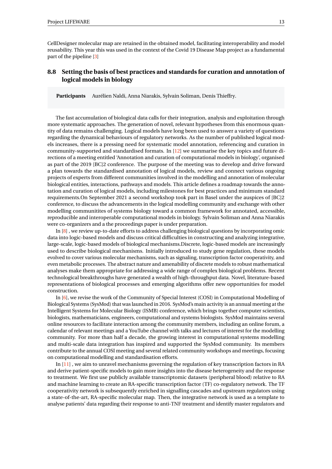CellDesigner molecular map are retained in the obtained model, facilitating interoperability and model reusability. This year this was used in the context of the Covid 19 Disease Map project as a fundamental part of the pipeline [\[3\]](#page-23-8)

## <span id="page-15-0"></span>**8.8 Setting the basis of best practices and standards for curation and annotation of logical models in biology**

**Participants** Aurélien Naldi, Anna Niarakis, Sylvain Soliman, Denis Thieffry.

The fast accumulation of biological data calls for their integration, analysis and exploitation through more systematic approaches. The generation of novel, relevant hypotheses from this enormous quantity of data remains challenging. Logical models have long been used to answer a variety of questions regarding the dynamical behaviours of regulatory networks. As the number of published logical models increases, there is a pressing need for systematic model annotation, referencing and curation in community-supported and standardised formats. In [\[12\]](#page-24-3) we summarise the key topics and future directions of a meeting entitled 'Annotation and curation of computational models in biology', organised as part of the 2019 [BC]2 conference. The purpose of the meeting was to develop and drive forward a plan towards the standardised annotation of logical models, review and connect various ongoing projects of experts from different communities involved in the modelling and annotation of molecular biological entities, interactions, pathways and models. This article defines a roadmap towards the annotation and curation of logical models, including milestones for best practices and minimum standard requirements.On September 2021 a second workshop took part in Basel under the auspices of [BC]2 conference, to discuss the advancements in the logical modelling community and exchange with other modelling communitites of systems biology toward a common framework for annotated, accessible, reproducible and interoperable computational models in biology. Sylvain Soliman and Anna Niarakis were co-organizers and a the proceedings paper is under preparation.

In [\[8\]](#page-24-4) , we review up-to-date efforts to address challenging biological questions by incorporating omic data into logic-based models and discuss critical difficulties in constructing and analyzing integrative, large-scale, logic-based models of biological mechanisms.Discrete, logic-based models are increasingly used to describe biological mechanisms. Initially introduced to study gene regulation, these models evolved to cover various molecular mechanisms, such as signaling, transcription factor cooperativity, and even metabolic processes. The abstract nature and amenability of discrete models to robust mathematical analyses make them appropriate for addressing a wide range of complex biological problems. Recent technological breakthroughs have generated a wealth of high-throughput data. Novel, literature-based representations of biological processes and emerging algorithms offer new opportunities for model construction.

In [\[6\]](#page-23-9), we revise the work of the Community of Special Interest (COSI) in Computational Modelling of Biological Systems (SysMod) that was launched in 2016. SysMod's main activity is an annual meeting at the Intelligent Systems for Molecular Biology (ISMB) conference, which brings together computer scientists, biologists, mathematicians, engineers, computational and systems biologists. SysMod maintains several online resources to facilitate interaction among the community members, including an online forum, a calendar of relevant meetings and a YouTube channel with talks and lectures of interest for the modelling community. For more than half a decade, the growing interest in computational systems modelling and multi-scale data integration has inspired and supported the SysMod community. Its members contribute to the annual COSI meeting and several related community workshops and meetings, focusing on computational modelling and standardisation efforts.

In [\[11\]](#page-24-5) , we aim to unravel mechanisms governing the regulation of key transcription factors in RA and derive patient-specific models to gain more insights into the disease heterogeneity and the response to treatment. We first use publicly available transcriptomic datasets (peripheral blood) relative to RA and machine learning to create an RA-specific transcription factor (TF) co-regulatory network. The TF cooperativity network is subsequently enriched in signalling cascades and upstream regulators using a state-of-the-art, RA-specific molecular map. Then, the integrative network is used as a template to analyse patients' data regarding their response to anti-TNF treatment and identify master regulators and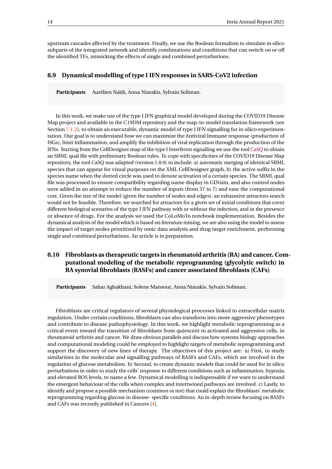upstream cascades affected by the treatment. Finally, we use the Boolean formalism to simulate in silico subparts of the integrated network and identify combinations and conditions that can switch on or off the identified TFs, mimicking the effects of single and combined perturbations.

### <span id="page-16-0"></span>**8.9 Dynamical modelling of type I IFN responses in SARS-CoV2 infection**

**Participants** Aurélien Naldi, Anna Niarakis, Sylvain Soliman.

In this work, we make use of the type I IFN graphical model developed during the COVID19 Disease Map project and available in the C19DM repository and the map-to-model translation framework (see Section [7.1.2\)](#page-11-0), to obtain an executable, dynamic model of type I IFN signalling for in silico experimentation. Our goal is to understand how we can maximize the Antiviral Immune response (production of ISGs), limit Inflammation, and amplify the inhibition of viral replication through the production of the IFNs. Starting from the CellDesigner map of the type I Interferon signalling we use the tool [CaSQ](https://pypi.org/project/casq/) to obtain an SBML qual file with preliminary Boolean rules. To cope with specificities of the COVID19 Disease Map repository, the tool CaSQ was adapted (version 1.0.0) to include: a) automatic merging of identical SBML species that can appear for visual purposes on the XML CellDesigner graph, b) the active suffix in the species name when the dotted circle was used to denote activation of a certain species. The SBML qual file was processed to ensure compatibility regarding name display in GINsim, and also control nodes were added in an attempt to reduce the number of inputs (from 37 to 7) and ease the computational cost. Given the size of the model (given the number of nodes and edges), an exhaustive attractors search would not be feasible. Therefore, we searched for attractors for a given set of initial conditions that cover different biological scenarios of the type I IFN pathway with or without the infection, and in the presence or absence of drugs. For the analysis we used the CoLoMoTo notebook implementation. Besides the dynamical analysis of the model which is based on literature mining, we are also using the model to assess the impact of target nodes prioritized by omic data analysis and drug target enrichment, performing single and combined perturbations. An article is in preparation.

## <span id="page-16-1"></span>**8.10 Fibroblasts as therapeutic targets in rheumatoid arthritis (RA) and cancer. Computational modeling of the metabolic reprogramming (glycolytic switch) in RA synovial fibroblasts (RASFs) and cancer associated fibroblasts (CAFs)**

**Participants** Sahar Aghakhani, Solene Mansour, Anna Niarakis, Sylvain Soliman.

Fibroblasts are critical regulators of several physiological processes linked to extracellular matrix regulation. Under certain conditions, fibroblasts can also transform into more aggressive phenotypes and contribute to disease pathophysiology. In this work, we highlight metabolic reprogramming as a critical event toward the transition of fibroblasts from quiescent to activated and aggressive cells, in rheumatoid arthritis and cancer. We draw obvious parallels and discuss how systems biology approaches and computational modeling could be employed to highlight targets of metabolic reprogramming and support the discovery of new lines of therapy. The objectives of this project are: a) First, to study similarities in the molecular and signalling pathways of RASFs and CAFs, which are involved in the regulation of glucose metabolism. b) Second, to create dynamic models that could be used for in silico perturbations in order to study the cells' response to different conditions such as inflammation, hypoxia, and elevated ROS levels, to name a few. Dynamical modelling is indispensable if we want to understand the emergent behaviour of the cells when complex and intertwined pathways are involved. c) Lastly, to identify and propose a possible mechanism (common or not) that could explain the fibroblasts' metabolic reprogramming regarding glucose in disease- specific conditions. An in-depth review focusing on RASFs and CAFs was recently published in Cancers [\[4\]](#page-23-10).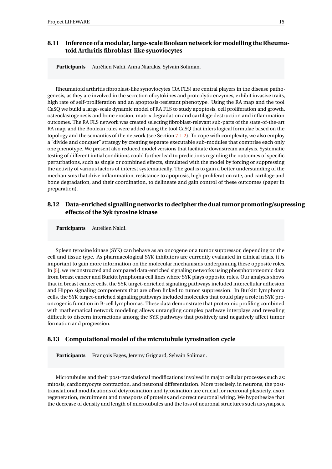## <span id="page-17-0"></span>**8.11 Inference of a modular, large-scale Boolean network for modelling the Rheumatoid Arthritis fibroblast-like synoviocytes**

**Participants** Aurélien Naldi, Anna Niarakis, Sylvain Soliman.

Rheumatoid arthritis fibroblast-like synoviocytes (RA FLS) are central players in the disease pathogenesis, as they are involved in the secretion of cytokines and proteolytic enzymes, exhibit invasive traits, high rate of self-proliferation and an apoptosis-resistant phenotype. Using the RA map and the tool CaSQ we build a large-scale dynamic model of RA FLS to study apoptosis, cell proliferation and growth, osteoclastogenesis and bone erosion, matrix degradation and cartilage destruction and inflammation outcomes. The RA FLS network was created selecting fibroblast-relevant sub-parts of the state-of-the-art RA map, and the Boolean rules were added using the tool CaSQ that infers logical formulae based on the topology and the semantics of the network (see Section  $7.1.2$ ). To cope with complexity, we also employ a "divide and conquer" strategy by creating separate executable sub-modules that comprise each only one phenotype. We present also reduced model versions that facilitate downstream analysis. Systematic testing of different initial conditions could further lead to predictions regarding the outcomes of specific perturbations, such as single or combined effects, simulated with the model by forcing or suppressing the activity of various factors of interest systematically. The goal is to gain a better understanding of the mechanisms that drive inflammation, resistance to apoptosis, high proliferation rate, and cartilage and bone degradation, and their coordination, to delineate and gain control of these outcomes (paper in preparation).

## <span id="page-17-1"></span>**8.12 Data-enriched signalling networks to decipher the dual tumor promoting/supressing effects of the Syk tyrosine kinase**

**Participants** Aurélien Naldi.

Spleen tyrosine kinase (SYK) can behave as an oncogene or a tumor suppressor, depending on the cell and tissue type. As pharmacological SYK inhibitors are currently evaluated in clinical trials, it is important to gain more information on the molecular mechanisms underpinning these opposite roles. In [\[5\]](#page-23-11), we reconstructed and compared data-enriched signaling networks using phosphoproteomic data from breast cancer and Burkitt lymphoma cell lines where SYK plays opposite roles. Our analysis shows that in breast cancer cells, the SYK target-enriched signaling pathways included intercellular adhesion and Hippo signaling components that are often linked to tumor suppression. In Burkitt lymphoma cells, the SYK target-enriched signaling pathways included molecules that could play a role in SYK prooncogenic function in B-cell lymphomas. These data demonstrate that proteomic profiling combined with mathematical network modeling allows untangling complex pathway interplays and revealing difficult to discern interactions among the SYK pathways that positively and negatively affect tumor formation and progression.

### <span id="page-17-2"></span>**8.13 Computational model of the microtubule tyrosination cycle**

Participants François Fages, Jeremy Grignard, Sylvain Soliman.

Microtubules and their post-translational modifications involved in major cellular processes such as: mitosis, cardiomyocyte contraction, and neuronal differentiation. More precisely, in neurons, the posttranslational modifications of detyrosination and tyrosination are crucial for neuronal plasticity, axon regeneration, recruitment and transports of proteins and correct neuronal wiring. We hypothesize that the decrease of density and length of microtubules and the loss of neuronal structures such as synapses,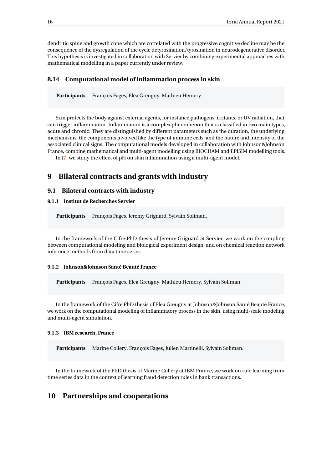dendritic spine and growth cone which are correlated with the progressive cognitive decline may be the consequence of the dysregulation of the cycle detyrosination/tyrosination in neurodegenerative disorder. This hypothesis is investigated in collaboration with Servier by combining experimental approaches with mathematical modelling in a paper currently under review.

### <span id="page-18-0"></span>**8.14 Computational model of inflammation process in skin**

Participants François Fages, Eléa Greugny, Mathieu Hemery.

Skin protects the body against external agents, for instance pathogens, irritants, or UV radiation, that can trigger inflammation. Inflammation is a complex phenomenon that is classified in two main types, acute and chronic. They are distinguished by different parameters such as the duration, the underlying mechanisms, the components involved like the type of immune cells, and the nature and intensity of the associated clinical signs. The computational models developed in collaboration with Johnson&Johnson France, combine mathematical and multi-agent modelling using BIOCHAM and EPISIM modelling tools.

In [\[7\]](#page-24-6) we study the effect of pH on skin inflammation using a multi-agent model.

## <span id="page-18-1"></span>**9 Bilateral contracts and grants with industry**

#### <span id="page-18-2"></span>**9.1 Bilateral contracts with industry**

### <span id="page-18-3"></span>**9.1.1 Institut de Recherches Servier**

**Participants** François Fages, Jeremy Grignard, Sylvain Soliman.

In the framework of the Cifre PhD thesis of Jeremy Grignard at Servier, we work on the coupling between computational modeling and biological experiment design, and on chemical reaction network inference methods from data time series.

#### <span id="page-18-4"></span>**9.1.2 Johnson&Johnson Santé Beauté France**

Participants François Fages, Elea Greugny, Mathieu Hemery, Sylvain Soliman.

In the framework of the Cifre PhD thesis of Eléa Greugny at Johnson&Johnson Santé Beauté France, we work on the computational modeling of inflammatory process in the skin, using multi-scale modeling and multi-agent simulation.

#### <span id="page-18-5"></span>**9.1.3 IBM research, France**

**Participants** Marine Collery, François Fages, Julien Martinelli, Sylvain Soliman.

In the framework of the PhD thesis of Marine Collery at IBM France, we work on rule learning from time series data in the context of learning fraud detection rules in bank transactions.

## <span id="page-18-6"></span>**10 Partnerships and cooperations**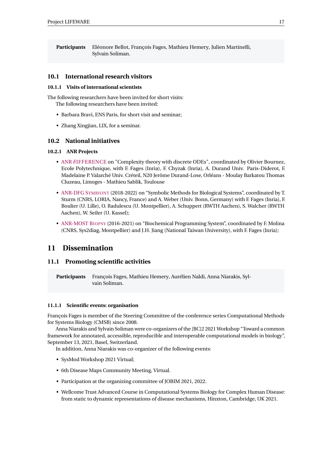**Participants** Eléonore Bellot, François Fages, Mathieu Hemery, Julien Martinelli, Sylvain Soliman.

### <span id="page-19-0"></span>**10.1 International research visitors**

#### <span id="page-19-1"></span>**10.1.1 Visits of international scientists**

The following researchers have been invited for short visits: The following researchers have been invited:

- Barbara Bravi, ENS Paris, for short visit and seminar;
- Zhang Xingjian, LIX, for a seminar.

### <span id="page-19-2"></span>**10.2 National initiatives**

#### <span id="page-19-3"></span>**10.2.1 ANR Projects**

- ANR *δ*[IFFERENCE](http://www.lix.polytechnique.fr/~bournez/DIFFERENCE/i.php/Main/HomePage) on "Complexity theory with discrete ODEs", coordinated by Olivier Bournez, Ecole Polytechnique, with F. Fages (Inria), F. Chyzak (Inria), A. Durand Univ. Paris-Diderot, F. Madelaine P. Valarché Univ. Créteil, N20 Jerôme Durand-Lose, Orléans - Moulay Barkatou Thomas Cluzeau, Limoges - Mathieu Sablik, Toulouse
- [ANR-DFG](https://www.symbiont-project.org) SYMBIONT (2018-2022) on "Symbolic Methods for Biological Systems", coordinated by T. Sturm (CNRS, LORIA, Nancy, France) and A. Weber (Univ. Bonn, Germany) with F. Fages (Inria), F. Boulier (U. Lille), O. Radulescu (U. Montpellier), A. Schuppert (RWTH Aachen), S. Walcher (RWTH Aachen), W. Seiler (U. Kassel);
- [ANR-MOST](http://www.agence-nationale-recherche.fr/Project-ANR-16-CE18-0029) BIOPSY (2016-2021) on "Biochemical Programming System", coordinated by F. Molina (CNRS, Sys2diag, Montpellier) and J.H. Jiang (National Taiwan University), with F. Fages (Inria);

## <span id="page-19-4"></span>**11 Dissemination**

### <span id="page-19-5"></span>**11.1 Promoting scientific activities**

**Participants** François Fages, Mathieu Hemery, Aurélien Naldi, Anna Niarakis, Sylvain Soliman.

### <span id="page-19-6"></span>**11.1.1 Scientific events: organisation**

François Fages is member of the Steering Committee of the conference series Computational Methods for Systems Biology (CMSB) since 2008.

Anna Niarakis and Sylvain Soliman were co-organizers of the [BC]2 2021 Workshop "Toward a common framework for annotated, accessible, reproducible and interoperable computational models in biology", September 13, 2021, Basel, Switzerland.

In addition, Anna Niarakis was co-organizer of the following events:

- SysMod Workshop 2021 Virtual;
- 6th Disease Maps Community Meeting, Virtual.
- Participation at the organizing committee of JOBIM 2021, 2022.
- Wellcome Trust Advanced Course in Computational Systems Biology for Complex Human Disease: from static to dynamic representations of disease mechanisms, Hinxton, Cambridge, UK 2021.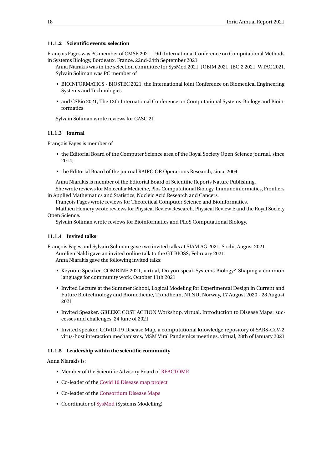#### <span id="page-20-0"></span>**11.1.2 Scientific events: selection**

François Fages was PC member of CMSB 2021, 19th International Conference on Computational Methods in Systems Biology, Bordeaux, France, 22nd-24th September 2021

Anna Niarakis was in the selection committee for SysMod 2021, JOBIM 2021, [BC]2 2021, WTAC 2021. Sylvain Soliman was PC member of

- BIOINFORMATICS BIOSTEC 2021, the International Joint Conference on Biomedical Engineering Systems and Technologies
- and CSBio 2021, The 12th International Conference on Computational Systems-Biology and Bioinformatics

Sylvain Soliman wrote reviews for CASC'21

#### <span id="page-20-1"></span>**11.1.3 Journal**

François Fages is member of

- the Editorial Board of the Computer Science area of the Royal Society Open Science journal, since 2014;
- the Editorial Board of the journal RAIRO OR Operations Research, since 2004.

Anna Niarakis is member of the Editorial Board of Scientific Reports Nature Publishing.

She wrote reviews for Molecular Medicine, Plos Computational Biology, Immunoinformatics, Frontiers in Applied Mathematics and Statistics, Nucleic Acid Research and Cancers.

François Fages wrote reviews for Theoretical Computer Science and Bioinformatics.

Mathieu Hemery wrote reviews for Physical Review Research, Physical Review E and the Royal Society Open Science.

Sylvain Soliman wrote reviews for Bioinformatics and PLoS Computational Biology.

### <span id="page-20-2"></span>**11.1.4 Invited talks**

François Fages and Sylvain Soliman gave two invited talks at SIAM AG 2021, Sochi, August 2021. Aurélien Naldi gave an invited online talk to the GT BIOSS, February 2021. Anna Niarakis gave the following invited talks:

- Keynote Speaker, COMBINE 2021, virtual, Do you speak Systems Biology? Shaping a common language for community work, October 11th 2021
- Invited Lecture at the Summer School, Logical Modeling for Experimental Design in Current and Future Biotechnology and Biomedicine, Trondheim, NTNU, Norway, 17 August 2020 - 28 August 2021
- Invited Speaker, GREEKC COST ACTION Workshop, virtual, Introduction to Disease Maps: successes and challenges, 24 June of 2021
- Invited speaker, COVID-19 Disease Map, a computational knowledge repository of SARS-CoV-2 virus-host interaction mechanisms, MSM Viral Pandemics meetings, virtual, 28th of January 2021

#### <span id="page-20-3"></span>**11.1.5 Leadership within the scientific community**

Anna Niarakis is:

- Member of the Scientific Advisory Board of [REACTOME](https://reactome.org/sab)
- Co-leader of the [Covid 19 Disease map project](https://covid.pages.uni.lu/ )
- Co-leader of the [Consortium Disease Maps](https://disease-maps.org/about )
- Coordinator of [SysMod](https://sysmod.info/ ) (Systems Modelling)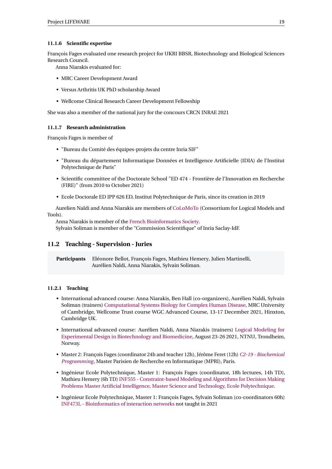### <span id="page-21-0"></span>**11.1.6 Scientific expertise**

François Fages evaluated one research project for UKRI BBSR, Biotechnology and Biological Sciences Research Council.

Anna Niarakis evaluated for:

- MRC Career Development Award
- Versus Arthritis UK PhD scholarship Award
- Wellcome Clinical Research Career Development Fellowship

She was also a member of the national jury for the concours CRCN INRAE 2021

#### <span id="page-21-1"></span>**11.1.7 Research administration**

François Fages is member of

- "Bureau du Comité des équipes-projets du centre Inria SIF"
- "Bureau du département Informatique Données et Intelligence Artificielle (IDIA) de l'Institut Polytechnique de Paris"
- Scientific committee of the Doctorate School "ED 474 Frontière de l'Innovation en Recherche (FIRE)" (from 2010 to October 2021)
- Ecole Doctorale ED IPP 626 ED, Institut Polytechnique de Paris, since its creation in 2019

Aurelien Naldi and Anna Niarakis are members of [CoLoMoTo](http://www.colomoto.org/) (Consortium for Logical Models and Tools).

Anna Niarakis is member of the [French Bioinformatics Society.](https://www.sfbi.fr/) Sylvain Soliman is member of the "Commission Scientifique" of Inria Saclay-IdF.

## <span id="page-21-2"></span>**11.2 Teaching - Supervision - Juries**

**Participants** Eléonore Bellot, François Fages, Mathieu Hemery, Julien Martinelli, Aurélien Naldi, Anna Niarakis, Sylvain Soliman.

### <span id="page-21-3"></span>**11.2.1 Teaching**

- International advanced course: Anna Niarakis, Ben Hall (co-organizers), Aurélien Naldi, Sylvain Soliman (trainers) [Computational Systems Biology for Complex Human Disease,](https://coursesandconferences.wellcomeconnectingscience.org/event/computational-systems-biology-for-complex-human-disease-from-static-to-dynamic-representations-of-disease-mechanisms-virtual-20211213/) MRC University of Cambridge, Wellcome Trust course WGC Advanced Course, 13-17 December 2021, Hinxton, Cambridge UK.
- International advanced course: Aurélien Naldi, Anna Niarakis (trainers) [Logical Modeling for](https://www.ntnu.edu/studies/courses/BI8040/2021) [Experimental Design in Biotechnology and Biomedicine,](https://www.ntnu.edu/studies/courses/BI8040/2021) August 23-26 2021, NTNU, Trondheim, Norway.
- Master 2: François Fages (coordinator 24h and teacher 12h), Jérôme Feret (12h) *[C2-19 Biochemical](https://lifeware.inria.fr/wiki/Fages/BiochemicalProgramming) [Programming](https://lifeware.inria.fr/wiki/Fages/BiochemicalProgramming)*, Master Parisien de Recherche en Informatique (MPRI), Paris.
- Ingénieur Ecole Polytechnique, Master 1: François Fages (coordinator, 18h lectures, 14h TD), Mathieu Hemery (6h TD) [INF555 - Constraint-based Modeling and Algorithms for Decision Making](http://lifeware.inria.fr/wiki/Main/ConstraintModeling) [Problems](http://lifeware.inria.fr/wiki/Main/ConstraintModeling) [Master Artificial Intelligence, Master Science and Technology, Ecole Polytechnique.](https://portail.polytechnique.edu/graduatedegree/master/artificial-intelligence-advanced-visual-computing/program-structure)
- Ingénieur Ecole Polytechnique, Master 1: François Fages, Sylvain Soliman (co-coordinators 60h) [INF473L - Bioinformatics of interaction networks](https://lifeware.inria.fr/wiki/Fages/MODALINF473L) not taught in 2021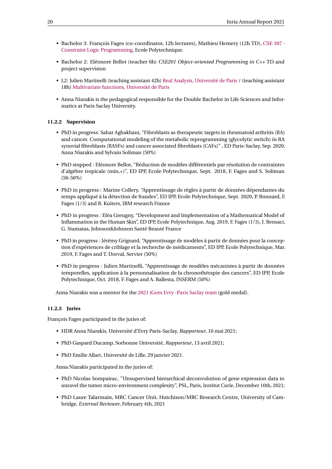- Bachelor 3: François Fages (co-coordinator, 12h lectures), Mathieu Hemery (12h TD), [CSE 307 -](https://lifeware.inria.fr/wiki/Main/LogicProgramming) [Constraint Logic Programming,](https://lifeware.inria.fr/wiki/Main/LogicProgramming) Ecole Polytechnique.
- Bachelor 2: Eléonore Bellot (teacher 6h) *CSE201 Object-oriented Programming in C++* TD and project supervision
- L2: Julien Martinelli (teaching assistant 42h) [Real Analysis, Université de Paris](https://math-info.u-paris.fr/licence-de-mathematiques/parcours-mathematiques-applications-et-enseignement/) / (teaching assistant 18h) [Multivariate functions, Université de Paris](https://math-info.u-paris.fr/licence-de-mathematiques/parcours-mathematiques-applications-et-enseignement/)
- Anna Niarakis is the pedagogical responsible for the Double Bachelor in Life Sciences and Informatics at Paris Saclay University.

#### <span id="page-22-0"></span>**11.2.2 Supervision**

- PhD in progress: Sahar Aghakhani, "Fibroblasts as therapeutic targets in rheumatoid arthritis (RA) and cancer. Computational modeling of the metabolic reprogramming (glycolytic switch) in RA synovial fibroblasts (RASFs) and cancer associated fibroblasts (CAFs)" , ED Paris-Saclay, Sep. 2020, Anna Niarakis and Sylvain Soliman (50%)
- PhD stopped : Eléonore Bellot, "Réduction de modèles différentiels par résolution de contraintes d'algèbre tropicale (min,+)", ED IPP, Ecole Polytechnique, Sept. 2018, F. Fages and S. Soliman (50-50%)
- PhD in progress : Marine Collery, "Apprentissage de règles à partir de données dépendantes du temps appliqué à la détection de fraudes", ED IPP, Ecole Polytechnique, Sept. 2020, P. Bonnard, F. Fages (1/3) and R. Kuiters, IBM research France
- PhD in progress : Eléa Greugny, "Development and Implementation of a Mathematical Model of Inflammation in the Human Skin", ED IPP, Ecole Polytechnique, Aug. 2019, F. Fages (1/3), J. Bensaci, G. Stamatas, Johnson&Johnson Santé Beauté France
- PhD in progress : Jérémy Grignard, "Apprentissage de modèles à partir de données pour la conception d'expériences de criblage et la recherche de médicaments", ED IPP, Ecole Polytechnique, Mar. 2019, F. Fages and T. Dorval, Servier (50%)
- PhD in progress : Julien Martinelli, "Apprentissage de modèles mécanistes à partir de données temporelles, application à la personnalisation de la chronothérapie des cancers", ED IPP, Ecole Polytechnique, Oct. 2018, F. Fages and A. Ballesta, INSERM (50%)

Anna Niarakis was a mentor for the [2021 iGem Evry -Paris Saclay team](https://2021.igem.org/Team:Evry_Paris-Saclay ) (gold medal).

### <span id="page-22-1"></span>**11.2.3 Juries**

François Fages participated in the juries of:

- HDR Anna Niarakis, Université d'Evry Paris-Saclay, *Rapporteur*, 10 mai 2021;
- PhD Gaspard Ducamp, Sorbonne Université, *Rapporteur*, 13 avril 2021;
- PhD Emilie Allart, Université de Lille, 29 janvier 2021.

Anna Niarakis participated in the juries of:

- PhD Nicolas Sompairac, "Unsupervised hierarchical deconvolution of gene expression data to unravel the tumor micro-environment complexity", PSL, Paris, Institut Curie, December 10th, 2021;
- PhD Laure Talarmain, MRC Cancer Unit, Hutchison/MRC Research Centre, University of Cambridge, *External Reviewer*, February 4th, 2021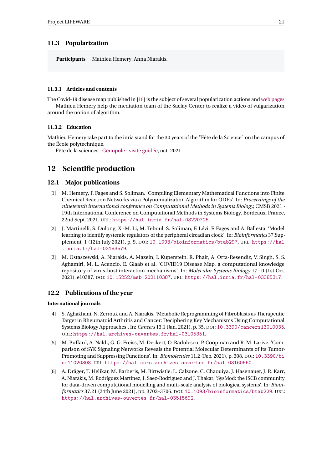## <span id="page-23-0"></span>**11.3 Popularization**

**Participants** Mathieu Hemery, Anna Niarakis.

### <span id="page-23-1"></span>**11.3.1 Articles and contents**

The Covid-19 disease map published in [\[18\]](#page-25-1) is the subject of several popularization actions and [web pages](https://www.genopole.fr/temps-forts/actualites/covid19-carte-info-mecanismes/) Mathieu Hemery help the mediation team of the Saclay Center to realize a video of vulgarization around the notion of algorithm.

### <span id="page-23-2"></span>**11.3.2 Education**

Mathieu Hemery take part to the inria stand for the 30 years of the "Fête de la Science" on the campus of the École polytechnique.

Fête de la sciences : [Genopole : visite guidée,](https://fete-science-univevry-genopole.fr/visites/visite-guidee-de-genhotel/ ) oct. 2021.

## <span id="page-23-3"></span>**12 Scientific production**

### <span id="page-23-4"></span>**12.1 Major publications**

- <span id="page-23-6"></span>[1] M. Hemery, F. Fages and S. Soliman. 'Compiling Elementary Mathematical Functions into Finite Chemical Reaction Networks via a Polynomialization Algorithm for ODEs'. In: *Proceedings of the nineteenth international conference on Computational Methods in Systems Biology,* CMSB 2021 - 19th International Conference on Computational Methods in Systems Biology. Bordeaux, France, 22nd Sept. 2021. URL: <https://hal.inria.fr/hal-03220725>.
- <span id="page-23-7"></span>[2] J. Martinelli, S. Dulong, X.-M. Li, M. Teboul, S. Soliman, F. Lévi, F. Fages and A. Ballesta. 'Model learning to identify systemic regulators of the peripheral circadian clock'. In: *Bioinformatics* 37.Supplement\_1 (12th July 2021), p. 9. DOI: [10.1093/bioinformatics/btab297](https://doi.org/10.1093/bioinformatics/btab297). URL: [https://hal](https://hal.inria.fr/hal-03183579) [.inria.fr/hal-03183579](https://hal.inria.fr/hal-03183579).
- <span id="page-23-8"></span>[3] M. Ostaszewski, A. Niarakis, A. Mazein, I. Kuperstein, R. Phair, A. Orta-Resendiz, V. Singh, S. S. Aghamiri, M. L. Acencio, E. Glaab et al. 'COVID19 Disease Map, a computational knowledge repository of virus-host interaction mechanisms'. In: *Molecular Systems Biology* 17.10 (1st Oct. 2021), e10387. DOI: [10.15252/msb.202110387](https://doi.org/10.15252/msb.202110387). URL: <https://hal.inria.fr/hal-03385317>.

## <span id="page-23-5"></span>**12.2 Publications of the year**

#### **International journals**

- <span id="page-23-10"></span>[4] S. Aghakhani, N. Zerrouk and A. Niarakis. 'Metabolic Reprogramming of Fibroblasts as Therapeutic Target in Rheumatoid Arthritis and Cancer: Deciphering Key Mechanisms Using Computational Systems Biology Approaches'. In: *Cancers* 13.1 (Jan. 2021), p. 35. DOI: [10.3390/cancers13010035](https://doi.org/10.3390/cancers13010035). URL: <https://hal.archives-ouvertes.fr/hal-03105351>.
- <span id="page-23-11"></span>[5] M. Buffard, A. Naldi, G. G. Freiss, M. Deckert, O. Radulescu, P. Coopman and R. M. Larive. 'Comparison of SYK Signaling Networks Reveals the Potential Molecular Determinants of Its Tumor-Promoting and Suppressing Functions'. In: *Biomolecules* 11.2 (Feb. 2021), p. 308. DOI: [10.3390/bi](https://doi.org/10.3390/biom11020308) [om11020308](https://doi.org/10.3390/biom11020308). URL: <https://hal-cnrs.archives-ouvertes.fr/hal-03160560>.
- <span id="page-23-9"></span>[6] A. Dräger, T. Helikar, M. Barberis, M. Birtwistle, L. Calzone, C. Chaouiya, J. Hasenauer, J. R. Karr, A. Niarakis, M. Rodríguez Martínez, J. Saez-Rodriguez and J. Thakar. 'SysMod: the ISCB community for data-driven computational modelling and multi-scale analysis of biological systems'. In: *Bioinformatics* 37.21 (24th June 2021), pp. 3702–3706. DOI: [10.1093/bioinformatics/btab229](https://doi.org/10.1093/bioinformatics/btab229). URL: <https://hal.archives-ouvertes.fr/hal-03515692>.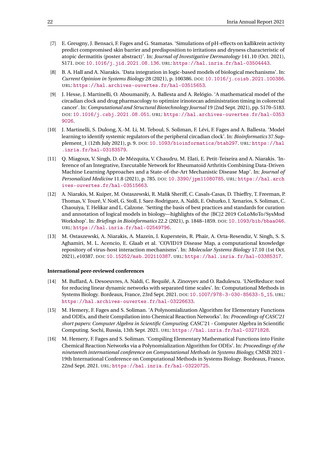- <span id="page-24-6"></span>[7] E. Greugny, J. Bensaci, F. Fages and G. Stamatas. 'Simulations of pH-effects on kallikrein activity predict compromised skin barrier and predisposition to irritations and dryness characteristic of atopic dermatitis (poster abstract)'. In: *Journal of Investigative Dermatology* 141.10 (Oct. 2021), S171. DOI: [10.1016/j.jid.2021.08.136](https://doi.org/10.1016/j.jid.2021.08.136). URL: <https://hal.inria.fr/hal-03504443>.
- <span id="page-24-4"></span>[8] B. A. Hall and A. Niarakis. 'Data integration in logic-based models of biological mechanisms'. In: *Current Opinion in Systems Biology* 28 (2021), p. 100386. DOI: [10.1016/j.coisb.2021.100386](https://doi.org/10.1016/j.coisb.2021.100386). URL: <https://hal.archives-ouvertes.fr/hal-03515653>.
- <span id="page-24-0"></span>[9] J. Hesse, J. Martinelli, O. Aboumanify, A. Ballesta and A. Relógio. 'A mathematical model of the circadian clock and drug pharmacology to optimize irinotecan administration timing in colorectal cancer'. In: *Computational and Structural Biotechnology Journal* 19 (2nd Sept. 2021), pp. 5170–5183. DOI: [10.1016/j.csbj.2021.08.051](https://doi.org/10.1016/j.csbj.2021.08.051). URL: [https://hal.archives-ouvertes.fr/hal-0353](https://hal.archives-ouvertes.fr/hal-03539026) [9026](https://hal.archives-ouvertes.fr/hal-03539026).
- [10] J. Martinelli, S. Dulong, X.-M. Li, M. Teboul, S. Soliman, F. Lévi, F. Fages and A. Ballesta. 'Model learning to identify systemic regulators of the peripheral circadian clock'. In: *Bioinformatics* 37.Supplement\_1 (12th July 2021), p. 9. DOI: [10.1093/bioinformatics/btab297](https://doi.org/10.1093/bioinformatics/btab297). URL: [https://hal](https://hal.inria.fr/hal-03183579) [.inria.fr/hal-03183579](https://hal.inria.fr/hal-03183579).
- <span id="page-24-5"></span>[11] Q. Miagoux, V. Singh, D. de Mézquita, V. Chaudru, M. Elati, E. Petit-Teixeira and A. Niarakis. 'Inference of an Integrative, Executable Network for Rheumatoid Arthritis Combining Data-Driven Machine Learning Approaches and a State-of-the-Art Mechanistic Disease Map'. In: *Journal of Personalized Medicine* 11.8 (2021), p. 785. DOI: [10.3390/jpm11080785](https://doi.org/10.3390/jpm11080785). URL: [https://hal.arch](https://hal.archives-ouvertes.fr/hal-03515663) [ives-ouvertes.fr/hal-03515663](https://hal.archives-ouvertes.fr/hal-03515663).
- <span id="page-24-3"></span>[12] A. Niarakis, M. Kuiper, M. Ostaszewski, R. Malik Sheriff, C. Casals-Casas, D. Thieffry, T. Freeman, P. Thomas, V. Touré, V. Noël, G. Stoll, J. Saez-Rodriguez, A. Naldi, E. Oshurko, I. Xenarios, S. Soliman, C. Chaouiya, T. Helikar and L. Calzone. 'Setting the basis of best practices and standards for curation and annotation of logical models in biology—highlights of the [BC]2 2019 CoLoMoTo/SysMod Workshop'. In: *Briefings in Bioinformatics* 22.2 (2021), p. 1848–1859. DOI: [10.1093/bib/bbaa046](https://doi.org/10.1093/bib/bbaa046). URL: <https://hal.inria.fr/hal-02549796>.
- [13] M. Ostaszewski, A. Niarakis, A. Mazein, I. Kuperstein, R. Phair, A. Orta-Resendiz, V. Singh, S. S. Aghamiri, M. L. Acencio, E. Glaab et al. 'COVID19 Disease Map, a computational knowledge repository of virus-host interaction mechanisms'. In: *Molecular Systems Biology* 17.10 (1st Oct. 2021), e10387. DOI: [10.15252/msb.202110387](https://doi.org/10.15252/msb.202110387). URL: <https://hal.inria.fr/hal-03385317>.

#### **International peer-reviewed conferences**

- <span id="page-24-2"></span>[14] M. Buffard, A. Desoeuvres, A. Naldi, C. Requilé, A. Zinovyev and O. Radulescu. 'LNetReduce: tool for reducing linear dynamic networks with separated time scales'. In: Computational Methods in Systems Biology. Bordeaux, France, 23rd Sept. 2021. DOI: [10.1007/978-3-030-85633-5\\_15](https://doi.org/10.1007/978-3-030-85633-5_15). URL: <https://hal.archives-ouvertes.fr/hal-03226633>.
- <span id="page-24-1"></span>[15] M. Hemery, F. Fages and S. Soliman. 'A Polynomialization Algorithm for Elementary Functions and ODEs, and their Compilation into Chemical Reaction Networks'. In: *Proceedings of CASC'21 short papers: Computer Algebra in Scientific Computing.* CASC'21 - Computer Algebra in Scientific Computing. Sochi, Russia, 13th Sept. 2021. URL: <https://hal.inria.fr/hal-03271828>.
- [16] M. Hemery, F. Fages and S. Soliman. 'Compiling Elementary Mathematical Functions into Finite Chemical Reaction Networks via a Polynomialization Algorithm for ODEs'. In: *Proceedings of the nineteenth international conference on Computational Methods in Systems Biology,* CMSB 2021 - 19th International Conference on Computational Methods in Systems Biology. Bordeaux, France, 22nd Sept. 2021. URL: <https://hal.inria.fr/hal-03220725>.